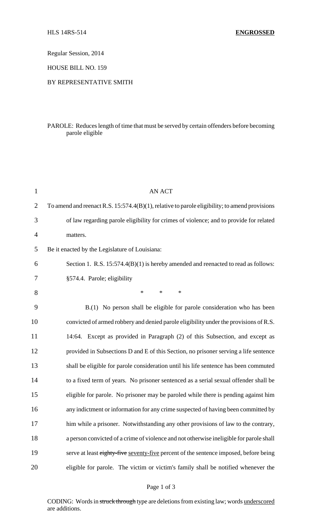Regular Session, 2014

HOUSE BILL NO. 159

## BY REPRESENTATIVE SMITH

## PAROLE: Reduces length of time that must be served by certain offenders before becoming parole eligible

| $\mathbf{1}$   | <b>AN ACT</b>                                                                                    |
|----------------|--------------------------------------------------------------------------------------------------|
| $\overline{2}$ | To amend and reenact R.S. $15:574.4(B)(1)$ , relative to parole eligibility; to amend provisions |
| 3              | of law regarding parole eligibility for crimes of violence; and to provide for related           |
| 4              | matters.                                                                                         |
| 5              | Be it enacted by the Legislature of Louisiana:                                                   |
| 6              | Section 1. R.S. 15:574.4(B)(1) is hereby amended and reenacted to read as follows:               |
| 7              | §574.4. Parole; eligibility                                                                      |
| 8              | $\ast$<br>$\ast$<br>$\ast$                                                                       |
| 9              | B.(1) No person shall be eligible for parole consideration who has been                          |
| 10             | convicted of armed robbery and denied parole eligibility under the provisions of R.S.            |
| 11             | 14:64. Except as provided in Paragraph (2) of this Subsection, and except as                     |
| 12             | provided in Subsections D and E of this Section, no prisoner serving a life sentence             |
| 13             | shall be eligible for parole consideration until his life sentence has been commuted             |
| 14             | to a fixed term of years. No prisoner sentenced as a serial sexual offender shall be             |
| 15             | eligible for parole. No prisoner may be paroled while there is pending against him               |
| 16             | any indictment or information for any crime suspected of having been committed by                |
| 17             | him while a prisoner. Notwithstanding any other provisions of law to the contrary,               |
| 18             | a person convicted of a crime of violence and not otherwise ineligible for parole shall          |
| 19             | serve at least eighty-five seventy-five percent of the sentence imposed, before being            |
| 20             | eligible for parole. The victim or victim's family shall be notified whenever the                |

CODING: Words in struck through type are deletions from existing law; words underscored are additions.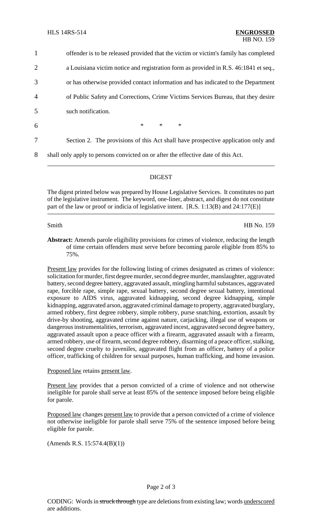| $\mathbf{1}$   | offender is to be released provided that the victim or victim's family has completed |
|----------------|--------------------------------------------------------------------------------------|
| $\overline{2}$ | a Louisiana victim notice and registration form as provided in R.S. 46:1841 et seq., |
| 3              | or has otherwise provided contact information and has indicated to the Department    |
| $\overline{4}$ | of Public Safety and Corrections, Crime Victims Services Bureau, that they desire    |
| 5              | such notification.                                                                   |
| 6              | $*$<br>$*$<br>$\ast$                                                                 |
| 7              | Section 2. The provisions of this Act shall have prospective application only and    |
| 8              | shall only apply to persons convicted on or after the effective date of this Act.    |

### DIGEST

The digest printed below was prepared by House Legislative Services. It constitutes no part of the legislative instrument. The keyword, one-liner, abstract, and digest do not constitute part of the law or proof or indicia of legislative intent. [R.S. 1:13(B) and 24:177(E)]

Smith HB No. 159

**Abstract:** Amends parole eligibility provisions for crimes of violence, reducing the length of time certain offenders must serve before becoming parole eligible from 85% to 75%.

Present law provides for the following listing of crimes designated as crimes of violence: solicitation for murder, first degree murder, second degree murder, manslaughter, aggravated battery, second degree battery, aggravated assault, mingling harmful substances, aggravated rape, forcible rape, simple rape, sexual battery, second degree sexual battery, intentional exposure to AIDS virus, aggravated kidnapping, second degree kidnapping, simple kidnapping, aggravated arson, aggravated criminal damage to property, aggravated burglary, armed robbery, first degree robbery, simple robbery, purse snatching, extortion, assault by drive-by shooting, aggravated crime against nature, carjacking, illegal use of weapons or dangerous instrumentalities, terrorism, aggravated incest, aggravated second degree battery, aggravated assault upon a peace officer with a firearm, aggravated assault with a firearm, armed robbery, use of firearm, second degree robbery, disarming of a peace officer, stalking, second degree cruelty to juveniles, aggravated flight from an officer, battery of a police officer, trafficking of children for sexual purposes, human trafficking, and home invasion.

# Proposed law retains present law.

Present law provides that a person convicted of a crime of violence and not otherwise ineligible for parole shall serve at least 85% of the sentence imposed before being eligible for parole.

Proposed law changes present law to provide that a person convicted of a crime of violence not otherwise ineligible for parole shall serve 75% of the sentence imposed before being eligible for parole.

(Amends R.S. 15:574.4(B)(1))